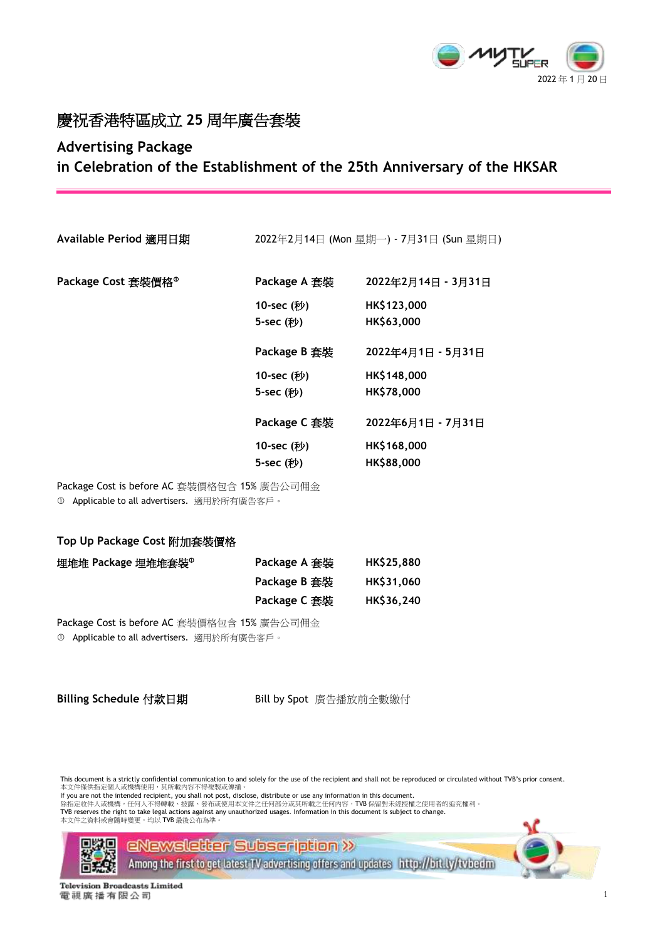

## 慶祝香港特區成立 **25** 周年廣告套裝

## **Advertising Package**

**in Celebration of the Establishment of the 25th Anniversary of the HKSAR**

**Available Period** 適用日期 2022年2月14日 (Mon 星期一) - 7月31日 (Sun 星期日)

| Package Cost 套裝價格 <sup>0</sup> |  |
|--------------------------------|--|
|--------------------------------|--|

| Package Cost 套裝價格 <sup>0</sup> | Package A 套裝 | 2022年2月14日 - 3月31日 |
|--------------------------------|--------------|--------------------|
|                                | 10-sec (秒)   | HK\$123,000        |
|                                | 5-sec (秒)    | HK\$63,000         |
|                                | Package B 套裝 | 2022年4月1日 - 5月31日  |
|                                | 10-sec (秒)   | HK\$148,000        |
|                                | 5-sec (秒)    | HK\$78,000         |
|                                | Package C 套裝 | 2022年6月1日 - 7月31日  |
|                                | 10-sec (秒)   | HK\$168,000        |
|                                | 5-sec (秒)    | HK\$88,000         |

Package Cost is before AC 套裝價格包含 15% 廣告公司佣金 Applicable to all advertisers. 適用於所有廣告客戶。

### **Top Up Package Cost** 附加套裝價格

| 埋堆堆 Package 埋堆堆套裝 <sup>®</sup> | Package A 套裝 | HK\$25,880       |
|--------------------------------|--------------|------------------|
|                                | Package B 套裝 | <b>HKS31,060</b> |
|                                | Package C 套裝 | HK\$36,240       |

Package Cost is before AC 套裝價格包含 15% 廣告公司佣金

Applicable to all advertisers. 適用於所有廣告客戶。

Billing Schedule 付款日期 **Bill by Spot 廣告播放前全數繳付** 

This document is a strictly confidential communication to and solely for the use of the recipient and shall not be reproduced or circulated without TVB's prior consent.<br>本文件僅供指定個人或機構使用,其所載內容不得複製或傳播。

If you are not the intended recipient, you shall not post, disclose, distribute or use any information in this document.

除指定收件人或機構,任何人不得轉載、披露、發布或使用本文件之任何部分或其所載之任何內容,TVB 保留對未經授權之使用者的追究權利。<br>TVB reserves the right to take legal actions against any unauthorized usages. Information in this document is subject to change.<br>[本文件之資料或會隨時變更,均以](http://bit.ly/tvbedm) TVB 最後公布為準





**Television Broadcasts Limited** 電視廣播有限公司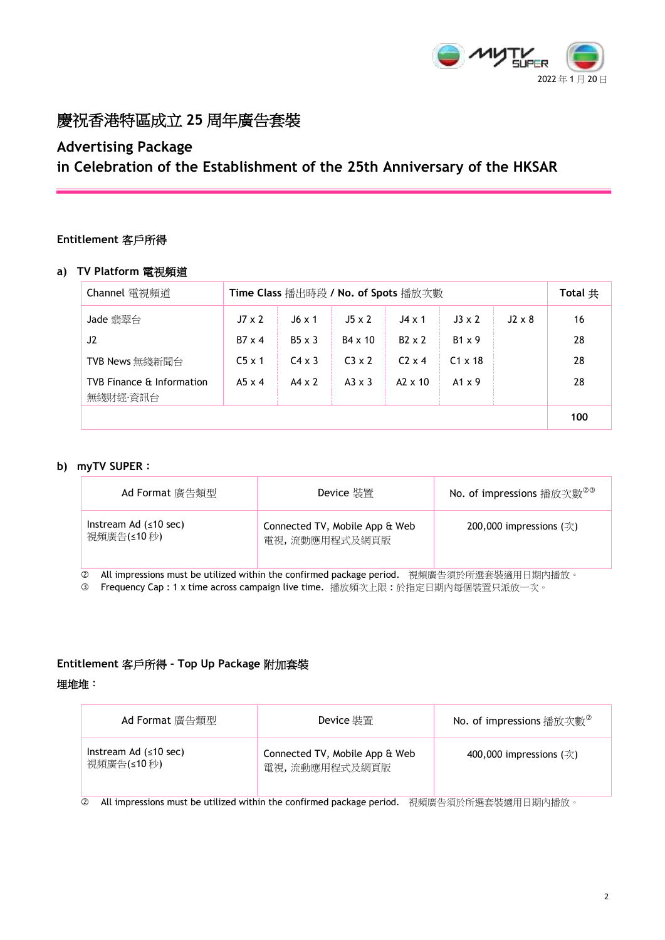

## 慶祝香港特區成立 **25** 周年廣告套裝

# **Advertising Package**

**in Celebration of the Establishment of the 25th Anniversary of the HKSAR**

## **Entitlement** 客戶所得

## **a) TV Platform** 電視頻道

| Channel 電視頻道                          | Time Class 播出時段 / No. of Spots 播放次數 |               |                | Total $#$      |                |               |     |
|---------------------------------------|-------------------------------------|---------------|----------------|----------------|----------------|---------------|-----|
| Jade 翡翠台                              | $J7 \times 2$                       | $J6 \times 1$ | $J5 \times 2$  | $J4 \times 1$  | $J3 \times 2$  | $J2 \times 8$ | 16  |
| J2                                    | $B7 \times 4$                       | $B5 \times 3$ | $B4 \times 10$ | $B2 \times 2$  | $B1 \times 9$  |               | 28  |
| TVB News 無綫新聞台                        | $C5 \times 1$                       | $C4 \times 3$ | $C3 \times 2$  | $C2 \times 4$  | $C1 \times 18$ |               | 28  |
| TVB Finance & Information<br>無綫財經·資訊台 | $A5 \times 4$                       | $AA \times 2$ | $A3 \times 3$  | $A2 \times 10$ | $A1 \times 9$  |               | 28  |
|                                       |                                     |               |                |                |                |               | 100 |

## **b) myTV SUPER**:

| Ad Format 廣告類型                                              | Device 裝置                                                      | No. of impressions 播放次數 <sup>@@</sup>                                                                                                                                                                            |
|-------------------------------------------------------------|----------------------------------------------------------------|------------------------------------------------------------------------------------------------------------------------------------------------------------------------------------------------------------------|
| Instream Ad $( \leq 10$ sec)<br>視頻廣告(≤10秒)<br>.<br>$\cdots$ | Connected TV, Mobile App & Web<br>電視,流動應用程式及網頁版<br>.<br>$\sim$ | 200,000 impressions $(\bar{\mathcal{K}})$<br>$\lambda$ and the column at $\lambda$ and $\lambda$ and $\lambda$ and the column at $\lambda$ and $\lambda$ and $\lambda$ and $\lambda$ and $\lambda$ and $\lambda$ |

All impressions must be utilized within the confirmed package period. 視頻廣告須於所選套裝適用日期內播放。

3 Frequency Cap : 1 x time across campaign live time. 播放頻次上限:於指定日期内每個裝置只派放一次。

## **Entitlement** 客戶所得 **- Top Up Package** 附加套裝

### 埋堆堆:

| Ad Format 廣告類型                             | Device 裝置                                       | <b>No. of impressions</b> 播放次數 <sup><math>\circ</math></sup> |
|--------------------------------------------|-------------------------------------------------|--------------------------------------------------------------|
| Instream Ad $( \leq 10$ sec)<br>視頻廣告(≤10秒) | Connected TV, Mobile App & Web<br>電視,流動應用程式及網頁版 | 400,000 impressions $(\frac{1}{X})$                          |

**② All impressions must be utilized within the confirmed package period. 視頻廣告須於所選套裝適用日期內播放。**